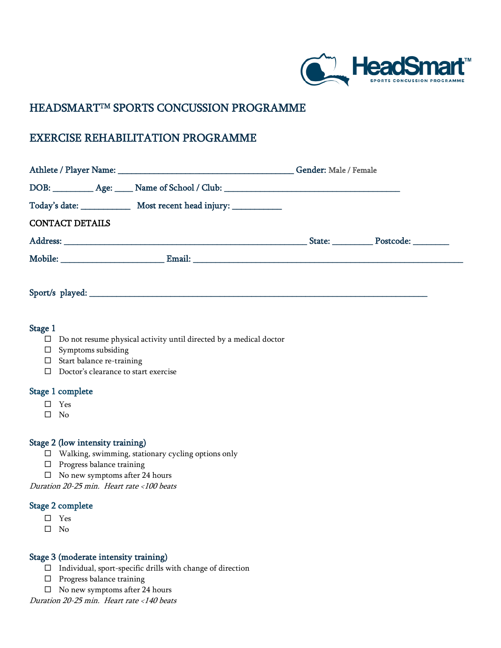

# HEADSMARTTM SPORTS CONCUSSION PROGRAMME

# EXERCISE REHABILITATION PROGRAMME

|                                                                                   | Gender: Male / Female |                  |
|-----------------------------------------------------------------------------------|-----------------------|------------------|
| DOB: ___________ Age: _____ Name of School / Club: ______________________________ |                       |                  |
|                                                                                   |                       |                  |
| <b>CONTACT DETAILS</b>                                                            |                       |                  |
|                                                                                   |                       | State: Postcode: |
|                                                                                   |                       |                  |

Sport/s played:

# Stage 1

- $\square$  Do not resume physical activity until directed by a medical doctor
- $\square$  Symptoms subsiding
- $\square$  Start balance re-training
- $\square$  Doctor's clearance to start exercise

#### Stage 1 complete

- □ Yes
- $\square$  No

#### Stage 2 (low intensity training)

- Walking, swimming, stationary cycling options only
- $\square$  Progress balance training
- $\Box$  No new symptoms after 24 hours

Duration 20-25 min. Heart rate <100 beats

#### Stage 2 complete

- Yes
- $\square$  No

#### Stage 3 (moderate intensity training)

- $\Box$  Individual, sport-specific drills with change of direction
- $\square$  Progress balance training
- $\Box$  No new symptoms after 24 hours

Duration 20-25 min. Heart rate <140 beats